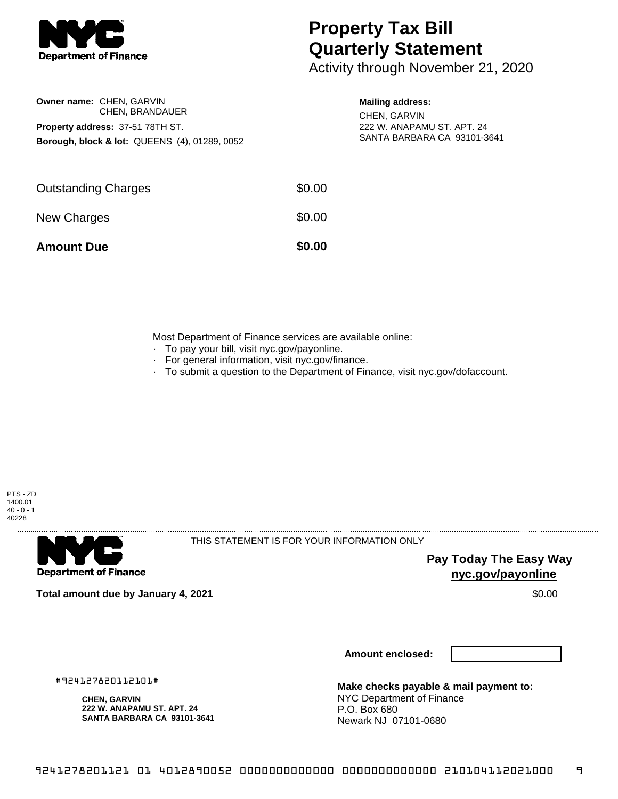

## **Property Tax Bill Quarterly Statement**

Activity through November 21, 2020

| <b>Owner name: CHEN. GARVIN</b>                          |                 |  |  |  |
|----------------------------------------------------------|-----------------|--|--|--|
|                                                          | CHEN, BRANDAUER |  |  |  |
| Property address: 37-51 78TH ST.                         |                 |  |  |  |
| <b>Borough, block &amp; lot: QUEENS (4), 01289, 0052</b> |                 |  |  |  |

## **Mailing address:**

CHEN, GARVIN 222 W. ANAPAMU ST. APT. 24 SANTA BARBARA CA 93101-3641

| <b>Amount Due</b>          | \$0.00 |
|----------------------------|--------|
| New Charges                | \$0.00 |
| <b>Outstanding Charges</b> | \$0.00 |

Most Department of Finance services are available online:

- · To pay your bill, visit nyc.gov/payonline.
- For general information, visit nyc.gov/finance.
- · To submit a question to the Department of Finance, visit nyc.gov/dofaccount.





THIS STATEMENT IS FOR YOUR INFORMATION ONLY

**Pay Today The Easy Way nyc.gov/payonline**

**Total amount due by January 4, 2021** \$0.00

**Amount enclosed:**

**Make checks payable & mail payment to:** NYC Department of Finance P.O. Box 680 Newark NJ 07101-0680

#924127820112101#

**222 W. ANAPAMU ST. APT. 24 SANTA BARBARA CA 93101-3641**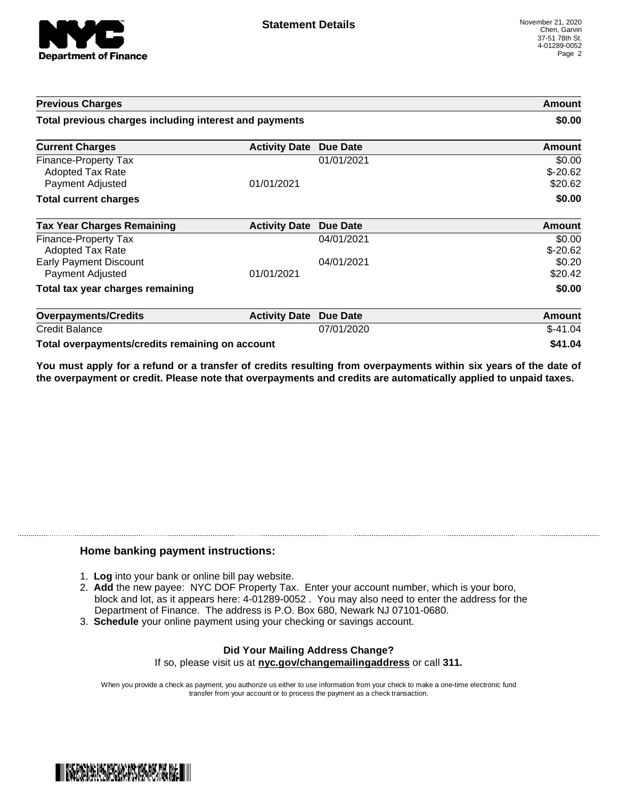

| <b>Previous Charges</b>                                      |                      |                 | Amount                         |
|--------------------------------------------------------------|----------------------|-----------------|--------------------------------|
| Total previous charges including interest and payments       |                      | \$0.00          |                                |
| <b>Current Charges</b>                                       | <b>Activity Date</b> | <b>Due Date</b> | Amount                         |
| Finance-Property Tax<br>Adopted Tax Rate<br>Payment Adjusted | 01/01/2021           | 01/01/2021      | \$0.00<br>$$-20.62$<br>\$20.62 |
| <b>Total current charges</b>                                 |                      |                 | \$0.00                         |
| <b>Tax Year Charges Remaining</b>                            | <b>Activity Date</b> | Due Date        | <b>Amount</b>                  |
| Finance-Property Tax<br>Adopted Tax Rate                     |                      | 04/01/2021      | \$0.00<br>$$-20.62$            |
| <b>Early Payment Discount</b><br>Payment Adjusted            | 01/01/2021           | 04/01/2021      | \$0.20<br>\$20.42              |
| Total tax year charges remaining                             |                      |                 | \$0.00                         |
| <b>Overpayments/Credits</b>                                  | <b>Activity Date</b> | <b>Due Date</b> | <b>Amount</b>                  |
| <b>Credit Balance</b>                                        |                      | 07/01/2020      | $$-41.04$                      |
| Total overpayments/credits remaining on account              |                      |                 | \$41.04                        |

You must apply for a refund or a transfer of credits resulting from overpayments within six years of the date of **the overpayment or credit. Please note that overpayments and credits are automatically applied to unpaid taxes.**

## **Home banking payment instructions:**

- 1. **Log** into your bank or online bill pay website.
- 2. **Add** the new payee: NYC DOF Property Tax. Enter your account number, which is your boro, block and lot, as it appears here: 4-01289-0052 . You may also need to enter the address for the Department of Finance. The address is P.O. Box 680, Newark NJ 07101-0680.
- 3. **Schedule** your online payment using your checking or savings account.

## **Did Your Mailing Address Change?** If so, please visit us at **nyc.gov/changemailingaddress** or call **311.**

When you provide a check as payment, you authorize us either to use information from your check to make a one-time electronic fund transfer from your account or to process the payment as a check transaction.